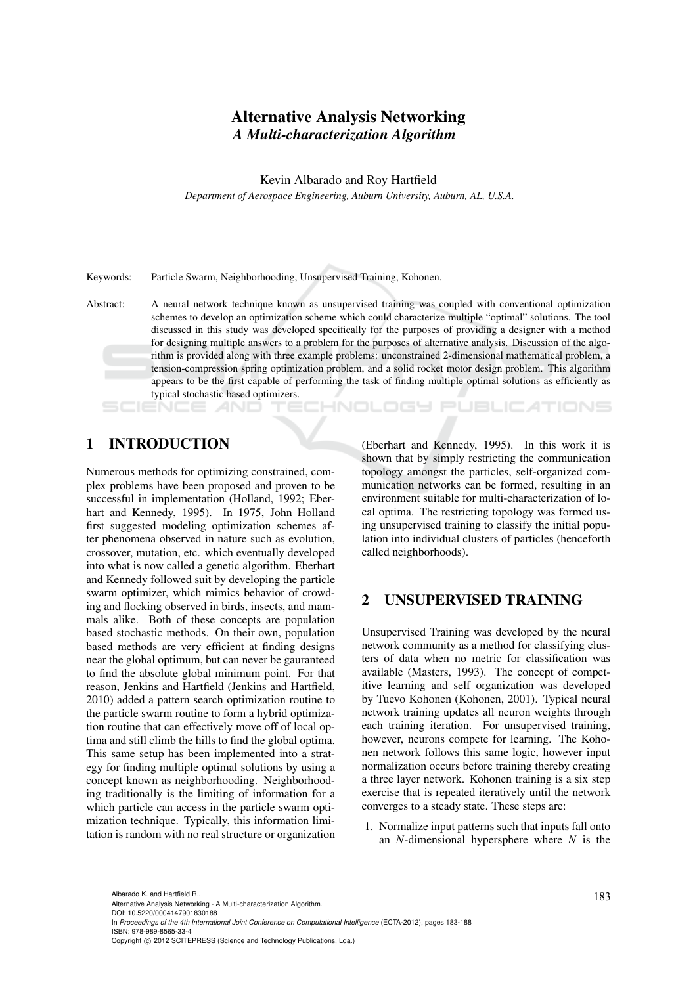# Alternative Analysis Networking *A Multi-characterization Algorithm*

Kevin Albarado and Roy Hartfield

*Department of Aerospace Engineering, Auburn University, Auburn, AL, U.S.A.*

Keywords: Particle Swarm, Neighborhooding, Unsupervised Training, Kohonen.

Abstract: A neural network technique known as unsupervised training was coupled with conventional optimization schemes to develop an optimization scheme which could characterize multiple "optimal" solutions. The tool discussed in this study was developed specifically for the purposes of providing a designer with a method for designing multiple answers to a problem for the purposes of alternative analysis. Discussion of the algorithm is provided along with three example problems: unconstrained 2-dimensional mathematical problem, a tension-compression spring optimization problem, and a solid rocket motor design problem. This algorithm appears to be the first capable of performing the task of finding multiple optimal solutions as efficiently as typical stochastic based optimizers.

# 1 INTRODUCTION

Numerous methods for optimizing constrained, complex problems have been proposed and proven to be successful in implementation (Holland, 1992; Eberhart and Kennedy, 1995). In 1975, John Holland first suggested modeling optimization schemes after phenomena observed in nature such as evolution, crossover, mutation, etc. which eventually developed into what is now called a genetic algorithm. Eberhart and Kennedy followed suit by developing the particle swarm optimizer, which mimics behavior of crowding and flocking observed in birds, insects, and mammals alike. Both of these concepts are population based stochastic methods. On their own, population based methods are very efficient at finding designs near the global optimum, but can never be gauranteed to find the absolute global minimum point. For that reason, Jenkins and Hartfield (Jenkins and Hartfield, 2010) added a pattern search optimization routine to the particle swarm routine to form a hybrid optimization routine that can effectively move off of local optima and still climb the hills to find the global optima. This same setup has been implemented into a strategy for finding multiple optimal solutions by using a concept known as neighborhooding. Neighborhooding traditionally is the limiting of information for a which particle can access in the particle swarm optimization technique. Typically, this information limitation is random with no real structure or organization

(Eberhart and Kennedy, 1995). In this work it is shown that by simply restricting the communication topology amongst the particles, self-organized communication networks can be formed, resulting in an environment suitable for multi-characterization of local optima. The restricting topology was formed using unsupervised training to classify the initial population into individual clusters of particles (henceforth called neighborhoods).

HNOLOGY PUBLIC ATIONS

## 2 UNSUPERVISED TRAINING

Unsupervised Training was developed by the neural network community as a method for classifying clusters of data when no metric for classification was available (Masters, 1993). The concept of competitive learning and self organization was developed by Tuevo Kohonen (Kohonen, 2001). Typical neural network training updates all neuron weights through each training iteration. For unsupervised training, however, neurons compete for learning. The Kohonen network follows this same logic, however input normalization occurs before training thereby creating a three layer network. Kohonen training is a six step exercise that is repeated iteratively until the network converges to a steady state. These steps are:

1. Normalize input patterns such that inputs fall onto an *N*-dimensional hypersphere where *N* is the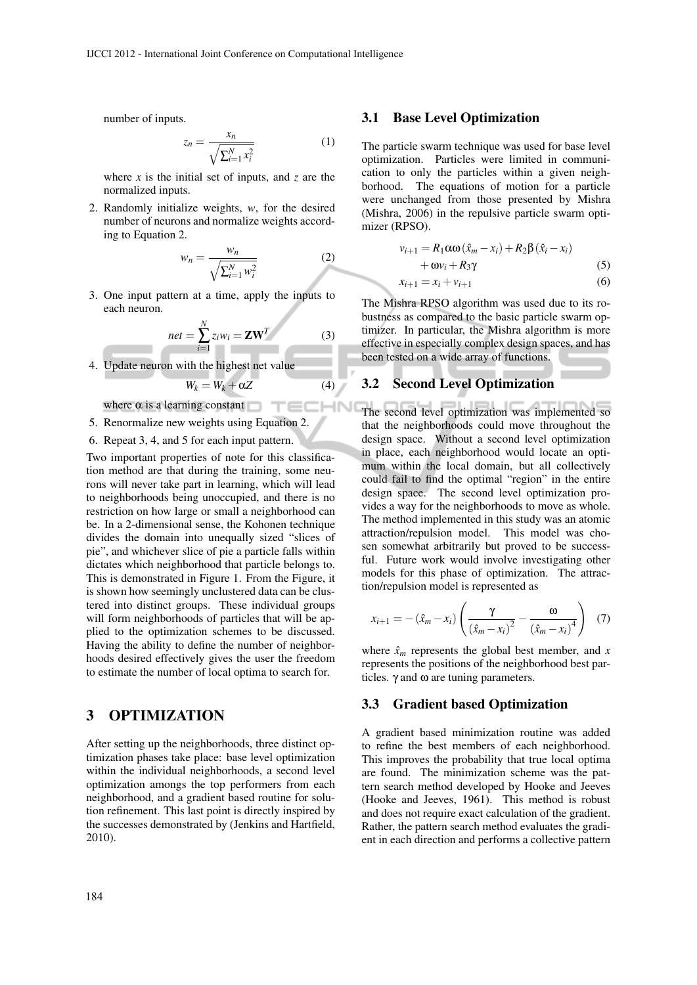number of inputs.

$$
z_n = \frac{x_n}{\sqrt{\sum_{i=1}^N x_i^2}} \tag{1}
$$

where *x* is the initial set of inputs, and *z* are the normalized inputs.

2. Randomly initialize weights, *w*, for the desired number of neurons and normalize weights according to Equation 2.

$$
w_n = \frac{w_n}{\sqrt{\sum_{i=1}^N w_i^2}} \tag{2}
$$

3. One input pattern at a time, apply the inputs to each neuron.

$$
net = \sum_{i=1}^{N} z_i w_i = \mathbf{ZW}^T
$$
 (3)

4. Update neuron with the highest net value

$$
W_k = W_k + \alpha Z \tag{4}
$$

**HN** 

where  $\alpha$  is a learning constant

- 5. Renormalize new weights using Equation 2.
- 6. Repeat 3, 4, and 5 for each input pattern.

Two important properties of note for this classification method are that during the training, some neurons will never take part in learning, which will lead to neighborhoods being unoccupied, and there is no restriction on how large or small a neighborhood can be. In a 2-dimensional sense, the Kohonen technique divides the domain into unequally sized "slices of pie", and whichever slice of pie a particle falls within dictates which neighborhood that particle belongs to. This is demonstrated in Figure 1. From the Figure, it is shown how seemingly unclustered data can be clustered into distinct groups. These individual groups will form neighborhoods of particles that will be applied to the optimization schemes to be discussed. Having the ability to define the number of neighborhoods desired effectively gives the user the freedom to estimate the number of local optima to search for.

### 3 OPTIMIZATION

After setting up the neighborhoods, three distinct optimization phases take place: base level optimization within the individual neighborhoods, a second level optimization amongs the top performers from each neighborhood, and a gradient based routine for solution refinement. This last point is directly inspired by the successes demonstrated by (Jenkins and Hartfield, 2010).

#### 3.1 Base Level Optimization

The particle swarm technique was used for base level optimization. Particles were limited in communication to only the particles within a given neighborhood. The equations of motion for a particle were unchanged from those presented by Mishra (Mishra, 2006) in the repulsive particle swarm optimizer (RPSO).

$$
v_{i+1} = R_1 \alpha \omega (\hat{x}_m - x_i) + R_2 \beta (\hat{x}_i - x_i)
$$
  
+  $\omega v_i + R_3 \gamma$  (5)  

$$
x_{i+1} = x_i + v_{i+1}
$$
 (6)

The Mishra RPSO algorithm was used due to its robustness as compared to the basic particle swarm optimizer. In particular, the Mishra algorithm is more effective in especially complex design spaces, and has been tested on a wide array of functions.

### 3.2 Second Level Optimization

The second level optimization was implemented so that the neighborhoods could move throughout the design space. Without a second level optimization in place, each neighborhood would locate an optimum within the local domain, but all collectively could fail to find the optimal "region" in the entire design space. The second level optimization provides a way for the neighborhoods to move as whole. The method implemented in this study was an atomic attraction/repulsion model. This model was chosen somewhat arbitrarily but proved to be successful. Future work would involve investigating other models for this phase of optimization. The attraction/repulsion model is represented as

$$
x_{i+1} = -(\hat{x}_m - x_i) \left( \frac{\gamma}{(\hat{x}_m - x_i)^2} - \frac{\omega}{(\hat{x}_m - x_i)^4} \right) (7)
$$

where  $\hat{x}_m$  represents the global best member, and *x* represents the positions of the neighborhood best particles.  $\gamma$  and  $\omega$  are tuning parameters.

#### 3.3 Gradient based Optimization

A gradient based minimization routine was added to refine the best members of each neighborhood. This improves the probability that true local optima are found. The minimization scheme was the pattern search method developed by Hooke and Jeeves (Hooke and Jeeves, 1961). This method is robust and does not require exact calculation of the gradient. Rather, the pattern search method evaluates the gradient in each direction and performs a collective pattern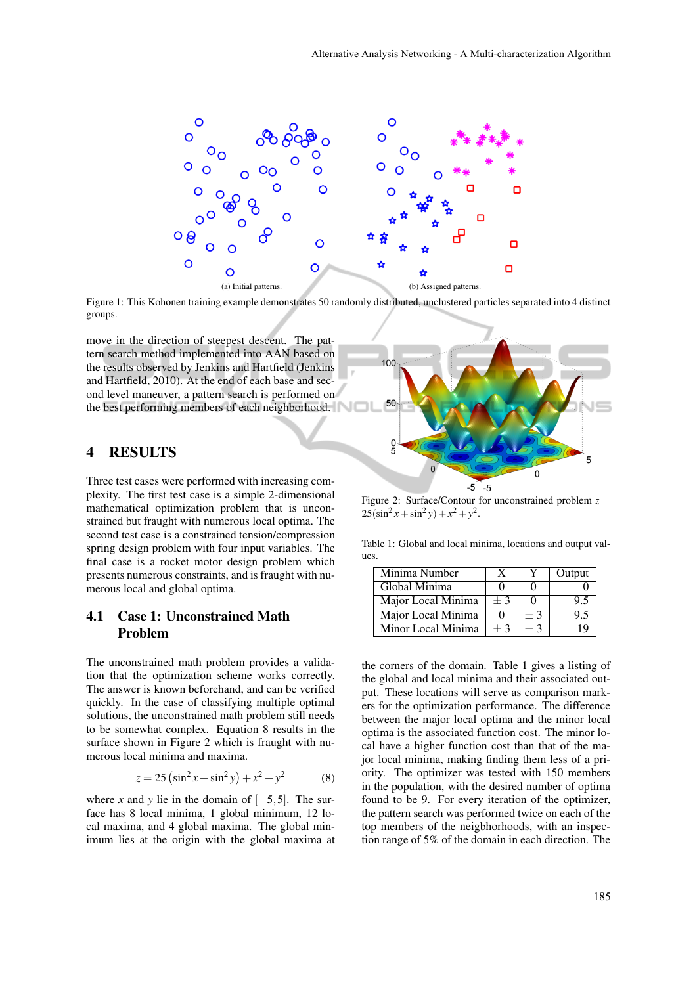

Figure 1: This Kohonen training example demonstrates 50 randomly distributed, unclustered particles separated into 4 distinct groups.

move in the direction of steepest descent. The pattern search method implemented into AAN based on the results observed by Jenkins and Hartfield (Jenkins and Hartfield, 2010). At the end of each base and second level maneuver, a pattern search is performed on the best performing members of each neighborhood.

### 4 RESULTS

Three test cases were performed with increasing complexity. The first test case is a simple 2-dimensional mathematical optimization problem that is unconstrained but fraught with numerous local optima. The second test case is a constrained tension/compression spring design problem with four input variables. The final case is a rocket motor design problem which presents numerous constraints, and is fraught with numerous local and global optima.

## 4.1 Case 1: Unconstrained Math Problem

The unconstrained math problem provides a validation that the optimization scheme works correctly. The answer is known beforehand, and can be verified quickly. In the case of classifying multiple optimal solutions, the unconstrained math problem still needs to be somewhat complex. Equation 8 results in the surface shown in Figure 2 which is fraught with numerous local minima and maxima.

$$
z = 25\left(\sin^2 x + \sin^2 y\right) + x^2 + y^2\tag{8}
$$

where *x* and *y* lie in the domain of  $[-5,5]$ . The surface has 8 local minima, 1 global minimum, 12 local maxima, and 4 global maxima. The global minimum lies at the origin with the global maxima at



Figure 2: Surface/Contour for unconstrained problem  $z =$  $25(\sin^2 x + \sin^2 y) + x^2 + y^2$ .

Table 1: Global and local minima, locations and output values.

| Minima Number      |      |      | Output |
|--------------------|------|------|--------|
| Global Minima      |      |      |        |
| Major Local Minima | $+3$ |      | ų.     |
| Major Local Minima |      | $+3$ | ۰. و   |
| Minor Local Minima | $+3$ | $+3$ |        |

the corners of the domain. Table 1 gives a listing of the global and local minima and their associated output. These locations will serve as comparison markers for the optimization performance. The difference between the major local optima and the minor local optima is the associated function cost. The minor local have a higher function cost than that of the major local minima, making finding them less of a priority. The optimizer was tested with 150 members in the population, with the desired number of optima found to be 9. For every iteration of the optimizer, the pattern search was performed twice on each of the top members of the neigbhorhoods, with an inspection range of 5% of the domain in each direction. The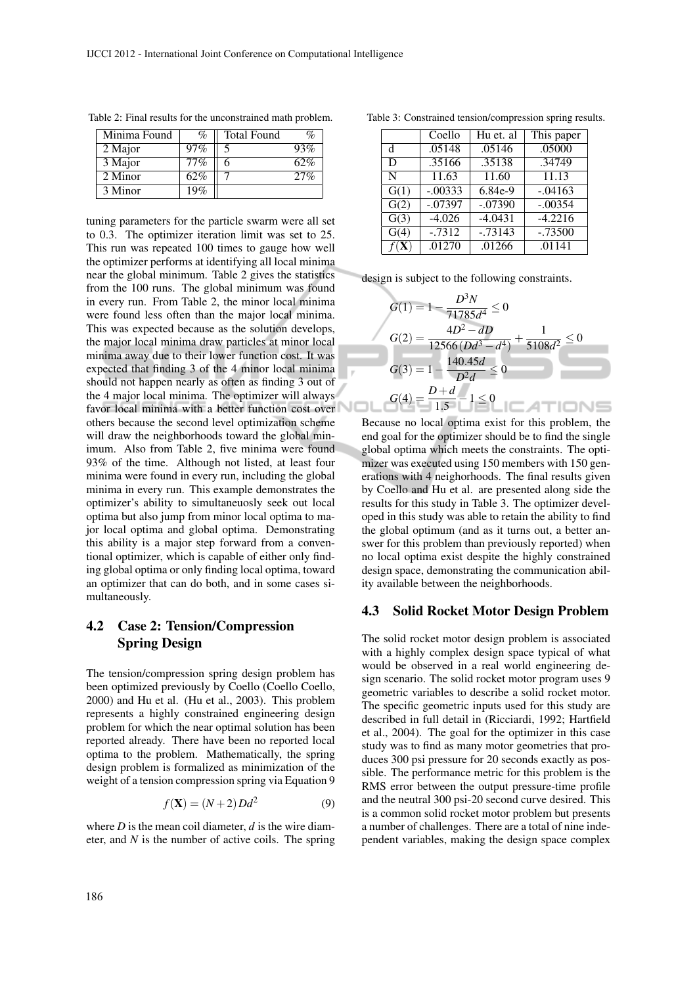| Minima Found | %      | <b>Total Found</b> | $\mathcal{O}_D$ |
|--------------|--------|--------------------|-----------------|
| 2 Major      | $97\%$ |                    | 93%             |
| 3 Major      | 77%    |                    | 62%             |
| 2 Minor      | 62%    |                    | 27%             |
| 3 Minor      | 19%    |                    |                 |

Table 2: Final results for the unconstrained math problem.

tuning parameters for the particle swarm were all set to 0.3. The optimizer iteration limit was set to 25. This run was repeated 100 times to gauge how well the optimizer performs at identifying all local minima near the global minimum. Table 2 gives the statistics from the 100 runs. The global minimum was found in every run. From Table 2, the minor local minima were found less often than the major local minima. This was expected because as the solution develops, the major local minima draw particles at minor local minima away due to their lower function cost. It was expected that finding 3 of the 4 minor local minima should not happen nearly as often as finding 3 out of the 4 major local minima. The optimizer will always favor local minima with a better function cost over others because the second level optimization scheme will draw the neighborhoods toward the global minimum. Also from Table 2, five minima were found 93% of the time. Although not listed, at least four minima were found in every run, including the global minima in every run. This example demonstrates the optimizer's ability to simultaneuosly seek out local optima but also jump from minor local optima to major local optima and global optima. Demonstrating this ability is a major step forward from a conventional optimizer, which is capable of either only finding global optima or only finding local optima, toward an optimizer that can do both, and in some cases simultaneously.

# 4.2 Case 2: Tension/Compression Spring Design

The tension/compression spring design problem has been optimized previously by Coello (Coello Coello, 2000) and Hu et al. (Hu et al., 2003). This problem represents a highly constrained engineering design problem for which the near optimal solution has been reported already. There have been no reported local optima to the problem. Mathematically, the spring design problem is formalized as minimization of the weight of a tension compression spring via Equation 9

$$
f(\mathbf{X}) = (N+2)Dd^2\tag{9}
$$

where  $D$  is the mean coil diameter,  $d$  is the wire diameter, and *N* is the number of active coils. The spring

Coello | Hu et. al | This paper d .05148 .05146 .05000<br>D .35166 .35138 .34749 D .35166 .35138 N 11.63 11.60 11.13<br>G(1) - .00333 6.84e-9 - .04163  $-0.00333$  6.84e-9  $-0.04163$  $\overline{G(2)}$  -.07397 -.07390 -.00354 G(3)  $-4.026$   $-4.0431$   $-4.2216$  $\overline{G(4)}$  -.7312 -.73143 -.73500  $f(X)$  .01270 .01266 .01141

Table 3: Constrained tension/compression spring results.

design is subject to the following constraints.

$$
G(1) = 1 - \frac{D^3 N}{71785d^4} \le 0
$$
  
\n
$$
G(2) = \frac{4D^2 - dD}{12566(Dd^3 - d^4)} + \frac{1}{5108d^2} \le 0
$$
  
\n
$$
G(3) = 1 - \frac{140.45d}{D^2d} \le 0
$$
  
\n
$$
G(4) = \frac{D + d}{1.5} - 1 \le 0
$$

Because no local optima exist for this problem, the end goal for the optimizer should be to find the single global optima which meets the constraints. The optimizer was executed using 150 members with 150 generations with 4 neighorhoods. The final results given by Coello and Hu et al. are presented along side the results for this study in Table 3. The optimizer developed in this study was able to retain the ability to find the global optimum (and as it turns out, a better answer for this problem than previously reported) when no local optima exist despite the highly constrained design space, demonstrating the communication ability available between the neighborhoods.

#### 4.3 Solid Rocket Motor Design Problem

The solid rocket motor design problem is associated with a highly complex design space typical of what would be observed in a real world engineering design scenario. The solid rocket motor program uses 9 geometric variables to describe a solid rocket motor. The specific geometric inputs used for this study are described in full detail in (Ricciardi, 1992; Hartfield et al., 2004). The goal for the optimizer in this case study was to find as many motor geometries that produces 300 psi pressure for 20 seconds exactly as possible. The performance metric for this problem is the RMS error between the output pressure-time profile and the neutral 300 psi-20 second curve desired. This is a common solid rocket motor problem but presents a number of challenges. There are a total of nine independent variables, making the design space complex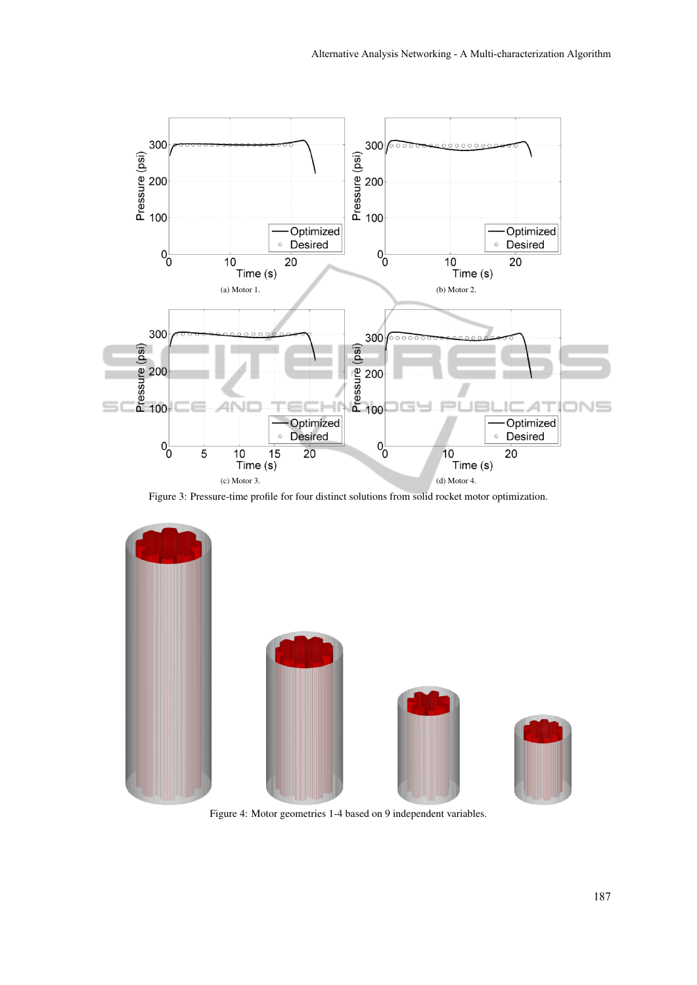

Figure 3: Pressure-time profile for four distinct solutions from solid rocket motor optimization.



Figure 4: Motor geometries 1-4 based on 9 independent variables.